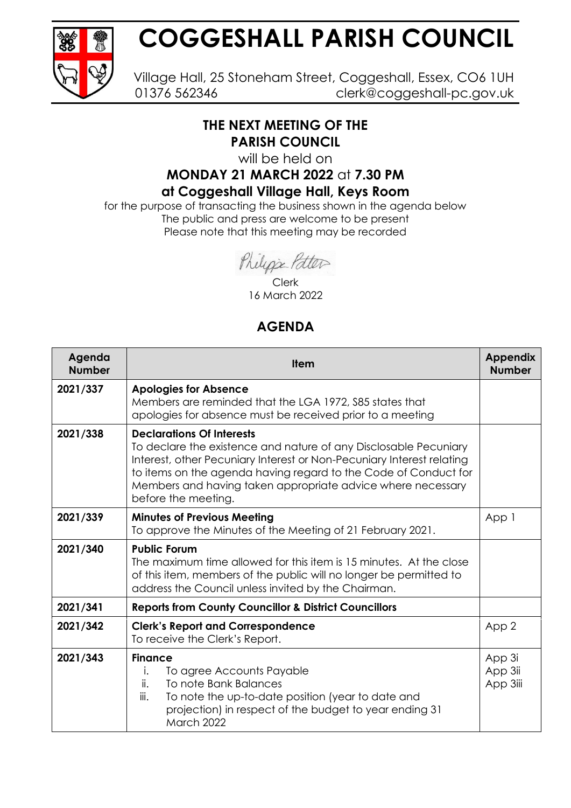

## **COGGESHALL PARISH COUNCIL**

Village Hall, 25 Stoneham Street, Coggeshall, Essex, CO6 1UH 01376 562346 clerk@coggeshall-pc.gov.uk

## **THE NEXT MEETING OF THE PARISH COUNCIL**

will be held on

## **MONDAY 21 MARCH 2022** at **7.30 PM at Coggeshall Village Hall, Keys Room**

for the purpose of transacting the business shown in the agenda below The public and press are welcome to be present Please note that this meeting may be recorded

Philips Patter

Clerk 16 March 2022

## **AGENDA**

| Agenda<br><b>Number</b> | <b>Item</b>                                                                                                                                                                                                                                                                                                                            | <b>Appendix</b><br><b>Number</b> |
|-------------------------|----------------------------------------------------------------------------------------------------------------------------------------------------------------------------------------------------------------------------------------------------------------------------------------------------------------------------------------|----------------------------------|
| 2021/337                | <b>Apologies for Absence</b><br>Members are reminded that the LGA 1972, \$85 states that<br>apologies for absence must be received prior to a meeting                                                                                                                                                                                  |                                  |
| 2021/338                | <b>Declarations Of Interests</b><br>To declare the existence and nature of any Disclosable Pecuniary<br>Interest, other Pecuniary Interest or Non-Pecuniary Interest relating<br>to items on the agenda having regard to the Code of Conduct for<br>Members and having taken appropriate advice where necessary<br>before the meeting. |                                  |
| 2021/339                | <b>Minutes of Previous Meeting</b><br>To approve the Minutes of the Meeting of 21 February 2021.                                                                                                                                                                                                                                       | App 1                            |
| 2021/340                | <b>Public Forum</b><br>The maximum time allowed for this item is 15 minutes. At the close<br>of this item, members of the public will no longer be permitted to<br>address the Council unless invited by the Chairman.                                                                                                                 |                                  |
| 2021/341                | <b>Reports from County Councillor &amp; District Councillors</b>                                                                                                                                                                                                                                                                       |                                  |
| 2021/342                | <b>Clerk's Report and Correspondence</b><br>To receive the Clerk's Report.                                                                                                                                                                                                                                                             | App 2                            |
| 2021/343                | <b>Finance</b><br>To agree Accounts Payable<br>i.<br>To note Bank Balances<br>ii.<br>iii.<br>To note the up-to-date position (year to date and<br>projection) in respect of the budget to year ending 31<br>March 2022                                                                                                                 | App 3i<br>App 3ii<br>App 3iii    |